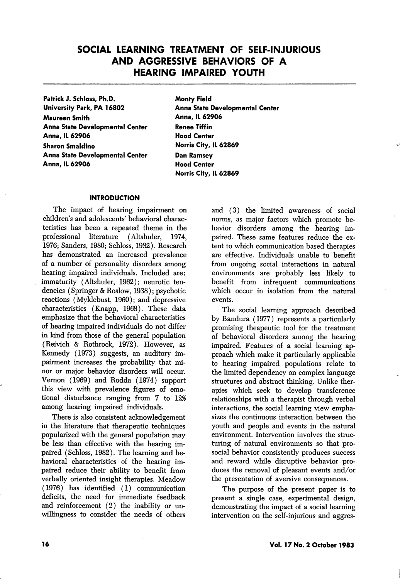# SOCIAL LEARNING TREATMENT OF SELF-INJURIOUS AND AGGRESSIVE BEHAVIORS OF A HEARING IMPAIRED YOUTH

Patrick J. Schloss, Ph.D. University Park, PA 16802

Maureen Smith Anna State Developmental Center Anna, IL 62906 Sharon Smaldino Anna State Developmental Center Anna, IL 62906

Monty Field Anna State Developmental Center Anna, IL 62906 Renee Tiffin Hood Center Norris City, IL 62869 Dan Ramsey Hood Center Norris City, IL 62869

### INTRODUCTION

The impact of hearing impairment on children's and adolescents' behavioral charac teristics has been a repeated theme in the professional literature (Altshuler, 1974, 1976; Sanders, 1980; Schloss, 1982). Research has demonstrated an increased prevalence of a number of personality disorders among hearing impaired individuals. Included are: immaturity (Altshuler, 1962); neurotic tendencies (Springer & Roslow, 1938); psychotic reactions (Myklebust, 1960); and depressive characteristics (Knapp, 1968). These data emphasize that the behavioral characteristics of hearing impaired individuals do not differ in kind from those of the general population (Reivich & Rothrock, 1972). However, as Kennedy (1973) suggests, an auditory im pairment increases the probability that mi nor or major behavior disorders wiU occur. Vernon (1969) and Rodda (1974) support this view with prevalence figures of emo tional disturbance ranging from 7 to 12% among hearing impaired individuals.

There is also consistent acknowledgement in the literature that therapeutic techniques popularized with the general population may be less than effective with the hearing im paired (Schloss, 1982). The learning and be havioral characteristics of the hearing im paired reduce their ability to benefit from verbally oriented insight therapies. Meadow (1976) has identified (1) communication deficits, the need for immediate feedback and reinforcement (2) the inability or un willingness to consider the needs of others and (3) the limited awareness of social norms, as major factors which promote be havior disorders among the hearing im paired. These same features reduce the ex tent to which communication based therapies are effective. Individuals unable to benefit from ongoing social interactions in natural environments are probably less likely to benefit from infrequent communications which occur in isolation from the natural events.

The social learning approach described by Bandura (1977) represents a particularly promising theapeutic tool for the treatment of behavioral disorders among the hearing impaired. Features of a social learning ap proach which make it particularly applicable to hearing impaired populations relate to the limited dependency on complex language structures and abstract thinking. Unlike ther apies which seek to develop transference relationships with a therapist through verbal interactions, the social learning view empha sizes the continuous interaction between the youth and people and events in the natural environment. Intervention involves the struc turing of natural environments so that prosocial behavior consistently produces success and reward while disruptive behavior pro duces the removal of pleasant events and/or the presentation of aversive consequences.

The purpose of the present paper is to present a single case, experimental design, demonstrating the impact of a social learning intervention on the self-injurious and aggres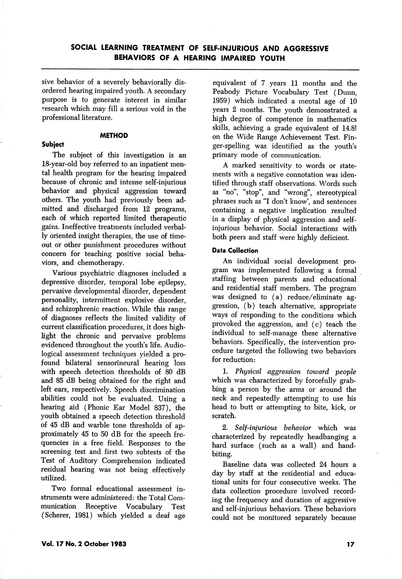sive behavior of a severely behaviorally dis ordered hearing impaired youth. A secondary purpose is to generate interest in similar research which may fill a serious void in the professional literature.

#### **METHOD**

### Subject

The subject of this investigation is an 18-year-old boy referred to an inpatient men tal health program for the hearing impaired because of chronic and intense self-injurious behavior and physical aggression toward others. The youth had previously been ad mitted and discharged from 12 programs, each of which reported limited therapeutic gains. Ineffective treatments included verbal ly oriented insight therapies, the use of time out or other punishment procedures without concern for teaching positive social beha viors, and chemotherapy.

Various psychiatric diagnoses included a depressive disorder, temporal lobe epilepsy, pervasive developmental disorder, dependent personality, intermittent explosive disorder, and schizophrenic reaction. While this range of diagnoses reflects the limited validity of current classification procedures, it does high light the chronic and pervasive problems evidenced throughout the youth's life. Audiological assessment techniques yielded a pro found bilateral sensorineural hearing loss with speech detection thresholds of 80 dB and 85 dB being obtained for the right and left ears, respectively. Speech discrimination abilities could not be evaluated. Using a hearing aid (Phonic Ear Model 837), the youth obtained a speech detection threshold of 45 dB and warble tone thresholds of ap proximately 45 to 50 dB for the speech fre quencies in a free field. Responses to the screening test and first two subtests of the Test of Auditory Comprehension indicated residual hearing was not being effectively utilized.

Two formal educational assessment in struments were administered: the Total Com munication Receptive Vocabulary Test (Scherer, 1981) which yielded a deaf age

equivalent of 7 years 11 months and the Peabody Picture Vocabulary Test (Dunn, 1959) which indicated a mental age of 10 years 2 months. The youth demonstrated a high degree of competence in mathematics skills, achieving a grade equivalent of 14.8! on the Wide Range Achievement Test. Fin ger-spelling was identified as the youth's primary mode of communication.

A marked sensitivity to words or state ments with a negative connotation was iden tified through staff observations. Words such as "no", "stop", and "wrong", stereotypical phrases such as "I don't know', and sentences containing a negative implication resulted in a display of physical aggression and selfinjurious behavior. Social interactions with both peers and staff were highly deficient.

### Data Collection

An individual social development pro gram was implemented following a formal staffing between parents and educational and residential staff members. The program was designed to (a) reduce/eliminate ag gression, (b) teach alternative, appropriate ways of responding to the conditions which provoked the aggression, and (c) teach the individual to self-manage these alternative behaviors. Specifically, the intervention pro cedure targeted the following two behaviors for reduction:

1. Physical aggression toward people which was characterized by forcefully grab bing a person by the arms or around the neck and repeatedly attempting to use his head to butt or attempting to bite, kick, or scratch.

2. Self-injurious behavior which was characterized by repeatedly headbanging a hard surface (such as a wall) and handbiting.

Baseline data was collected 24 hours a day by staff at the residential and educa tional units for four consecutive weeks. The data collection procedure involved record ing the frequency and duration of aggressive and self-injurious behaviors. These behaviors could not be monitored separately because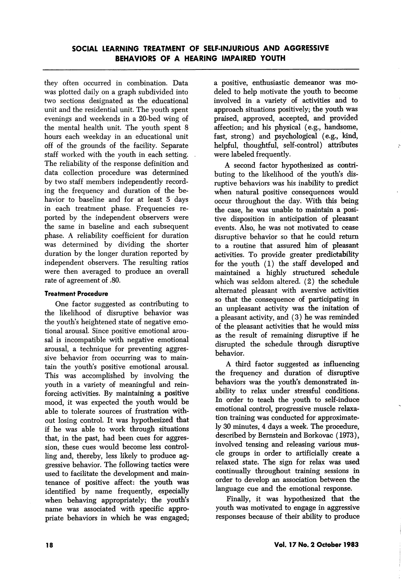they often occurred in combination. Data was plotted daily on a graph subdivided into two sections designated as the educational unit and the residential unit. The youth spent evenings and weekends in a 20-bed wing of the mental health unit. The youth spent 8 hours each weekday in an educational unit off of the grounds of the facility. Separate staff worked with the youth in each setting. The reliability of the response definition and data collection procedure was determined by two staff members independently record ing the frequency and duration of the be havior to baseline and for at least 5 days in each treatment phase. Frequencies re ported by the independent observers were the same in baseline and each subsequent phase. A reliability coefficient for duration was determined by dividing the shorter duration by the longer duration reported by independent observers. The resulting ratios were then averaged to produce an overall rate of agreement of .80.

### Treatment Procedure

One factor suggested as contributing to the likelihood of disruptive behavior was the youth's heightened state of negative emo tional arousal. Since positive emotional arou sal is incompatible with negative emotional arousal, a technique for preventing aggres sive behavior from occurring was to main tain the youth's positive emotional arousal. This was accomplished by involving the youth in a variety of meaningful and rein forcing activities. By maintaining a positive mood, it was expected the youth would be able to tolerate sources of frustration with out losing control. It was hypothesized that if he was able to work through situations that, in the past, had been cues for aggres sion, these cues would become less control ling and, thereby, less likely to produce ag gressive behavior. The following tactics were used to facilitate the development and main tenance of positive affect: the youth was identified by name frequently, especially when behaving appropriately; the youth's name was associated with specific appro priate behaviors in which he was engaged; a positive, enthusiastic demeanor was mo deled to help motivate the youth to become involved in a variety of activities and to approach situations positively; the youth was praised, approved, accepted, and provided affection; and his physical (e.g., handsome, fast, strong) and psychological (e.g., kind, helpful, thoughtful, self-control) attributes were labeled frequently.

A second factor hypothesized as contri buting to the likelihood of the youth's dis ruptive behaviors was his inability to predict when natural positive consequences would occur throughout the day. With this being the case, he was unable to maintain a posi tive disposition in anticipation of pleasant events. Also, he was not motivated to cease disruptive behavior so that he could return to a routine that assured him of pleasant activities. To provide greater predictability for the youth (1) the staff developed and maintained a highly structured schedule which was seldom altered. (2) the schedule alternated pleasant with aversive activities so that the consequence of participating in an unpleasant activity was the initation of a pleasant activity, and (3) he was reminded of the pleasant activities that he would miss as the result of remaining disruptive if he disrupted the schedule through disruptive behavior.

A third factor suggested as influencing the frequency and duration of disruptive behaviors was the youth's demonstrated in ability to relax under stressful conditions. In order to teach the youth to self-induce emotional control, progressive muscle relaxa tion training was conducted for approximate ly 30 minutes, 4 days a week. The procedure, described by Bernstein and Borkovac (1973), involved tensing and releasing various mus cle groups in order to artificially create a relaxed state. The sign for relax was used continually throughout training sessions in order to develop an association between the language cue and the emotional response.

Finally, it was hypothesized that the youth was motivated to engage in aggressive responses because of their ability to produce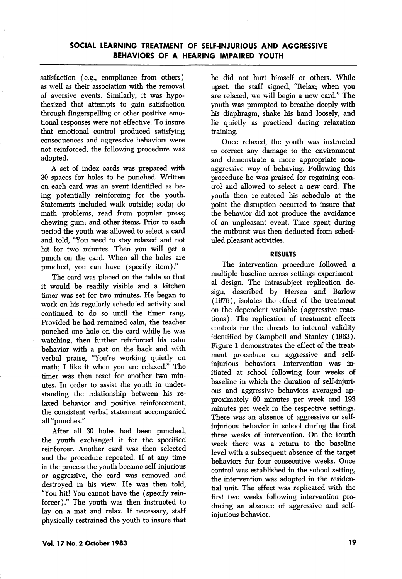satisfaction (e.g., compliance from others) as well as their association with the removal of aversive events. Similarly, it was hypo thesized that attempts to gain satisfaction through fingerspelling or other positive emo tional responses were not effective. To insure that emotional control produced satisfying consequences and aggressive behaviors were not reinforced, the following procedure was adopted.

A set of index cards was prepared with 30 spaces for holes to be punched. Written on each card was an event identified as be ing potentially reinforcing for the youth. Statements included walk outside; soda; do math problems; read from popular press; chewing gum; and other items. Prior to each period the youth was allowed to select a card and told, "You need to stay relaxed and not hit for two minutes. Then you will get a punch on the card. When all the holes are punched, you can have (specify item)."

The card was placed on the table so that it would be readily visible and a kitchen timer was set for two minutes. He began to work on his regularly scheduled activity and continued to do so until the timer rang. Provided he had remained calm, the teacher punched one hole on the card while he was watching, then further reinforced his calm behavior with a pat on the back and with verbal praise, "You're working quietly on math; I like it when you are relaxed." The timer was then reset for another two min utes. In order to assist the youth in under standing the relationship between his re laxed behavior and positive reinforcement, the consistent verbal statement accompanied all "punches."

After all 30 holes had been punched, the youth exchanged it for the specified reinforcer. Another card was then selected and the procedure repeated. If at any time in the process the youth became self-injurious or aggressive, the card was removed and destroyed in his view. He was then told, "You hit! You cannot have the (specify reinforcer)." The youth was then instructed to lay on a mat and relax. If necessary, staff physically restrained the youth to insure that he did not hurt himself or others. While upset, the staff signed, "Relax; when you are relaxed, we will begin a new card." The youth was prompted to breathe deeply with his diaphragm, shake his hand loosely, and lie quietly as practiced during relaxation training.

Once relaxed, the youth was instructed to correct any damage to the environment and demonstrate a more appropriate nonaggressive way of behaving. Following this procedure he was praised for regaining con trol and allowed to select a new card. The youth then re-entered his schedule at the point the disruption occurred to insure that the behavior did not produce the avoidance of an unpleasant event. Time spent during the outburst was then deducted from sched uled pleasant activities.

### RESULTS

The intervention procedure followed a multiple baseline across settings experiment al design. The intrasubject replication de sign, described by Hersen and Barlow (1976), isolates the effect of the treatment on the dependent variable (aggressive reac tions). The replication of treatment effects controls for the threats to internal validity identified by Campbell and Stanley (1963). Figure 1 demonstrates the effect of the treat ment procedure on aggressive and selfinjurious behaviors. Intervention was in itiated at school following four weeks of baseline in which the duration of self-injuri ous and aggressive behaviors averaged ap proximately 60 minutes per week and 193 minutes per week in the respective settings. There was an absence of aggressive or selfinjurious behavior in school during the first three weeks of intervention. On the fourth week there was a return to the baseline level with a subsequent absence of the target behaviors for four consecutive weeks. Once control was established in the school setting, the intervention was adopted in the residen tial unit. The effect was replicated with the first two weeks following intervention pro ducing an absence of aggressive and selfinjurious behavior.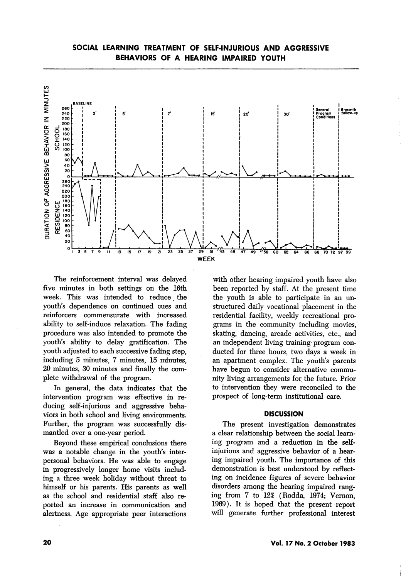

The reinforcement interval was delayed five minutes in both settings on the 16th week. This was intended to reduce the youth's dependence on continued cues and reinforcers commensurate with increased ability to self-induce relaxation. The fading procedure was also intended to promote the youth's ability to delay gratification. The youth adjusted to each successive fading step, including 5 minutes, 7 minutes, 15 minutes, 20 minutes, 30 minutes and finally the com plete withdrawal of the program.

In general, the data indicates that the intervention program was effective in re ducing self-injurious and aggressive beha viors in both school and living environments. Further, the program was successfully dis mantled over a one-year period.

Beyond these empirical conclusions there was a notable change in the youth's inter personal behaviors. He was able to engage in progressively longer home visits includ ing a three week holiday without threat to himself or his parents. His parents as well as the school and residential staff also re ported an increase in communication and alertness. Age appropriate peer interactions

with other hearing impaired youth have also been reported by staff. At the present time the youth is able to participate in an un structured daily vocational placement in the residential facility, weekly recreational pro grams in the community including movies, skating, dancing, arcade activities, etc., and an independent living training program con ducted for three hours, two days a week in an apartment complex. The youth's parents have begun to consider alternative commu nity living arrangements for the future. Prior to intervention they were reconciled to the prospect of long-term institutional care.

#### **DISCUSSION**

The present investigation demonstrates a clear relationship between the social learn ing program and a reduction in the selfinjurious and aggressive behavior of a hear ing impaired youth. The importance of this demonstration is best understood by reflect ing on incidence figures of severe behavior disorders among the hearing impaired rang ing from 7 to 12% (Rodda, 1974; Vemon, 1969). It is hoped that the present report will generate further professional interest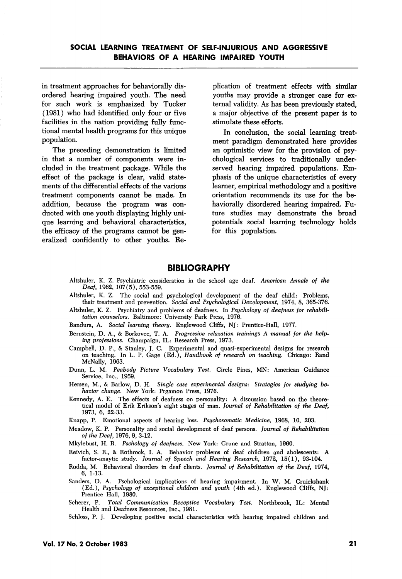in treatment approaches for behaviorally disordered hearing impaired youth. The need for such work is emphasized by Tucker (1981) who had identified only four or five facilities in the nation providing fully func tional mental health programs for this unique population.

The preceding demonstration is limited in that a number of components were in cluded in the treatment package. While the effect of the package is clear, valid state ments of the differential effects of the various treatment components cannot be made. In addition, because the program was con ducted with one youth displaying highly uni que learning and behavioral characteristics, the efficacy of the programs cannot be gen eralized confidently to other youths. Re plication of treatment effects with similar youths may provide a stronger case for ex ternal validity. As has been previously stated, a major objective of the present paper is to stimulate these efforts.

In conclusion, the social learning treat ment paradigm demonstrated here provides an optimistic view for the provision of psy chological services to traditionally underserved hearing impaired populations. Em phasis of the unique characteristics of every learner, empirical methodology and a positive orientation recommends its use for the behaviorally disordered hearing impaired. Fu ture studies may demonstrate the broad potentials social learning technology holds for this population.

### BIBLIOGRAPHY

- Altshuler, K. Z. Psychiatric consideration in the school age deaf. American Annals of the Deaf, 1962, 107(5), 553-559.
- Altshuler, K. Z. The social and psychological development of the deaf child: Problems, their treatment and prevention. Social and Psychological Development, 1974, 8, 365-376.
- Altshuler, K. Z. Psychiatry and problems of deafness. In Psychology of deafness for rehabilitation counselors. Baltimore: University Park Press, 1976.
- Bandura, A. Social learning theory. Englewood Cliffs, NJ: Prentice-Hall, 1977.
- Bernstein, D. A., & Borkovec, T. A. Progressive relaxation trainings A manual for the help ing professions. Champaign, IL: Research Press, 1973.
- Campbell, D. P., & Stanley, J. C. Experimental and quasi-experimental designs for research on teaching. In L. P. Gage (Ed.), Handbook of research on teaching. Chicago: Rand McNally, 1963.
- Dunn, L. M. Peahody Picture Vocabulary Test. Circle Pines, MN: American Guidance Service, Inc., 1959.
- Hersen, M., & Barlow, D. H. Single case experimental designs: Strategies for studying behavior change. New York; Prgamon Press, 1976.
- Kennedy, A. E. The effects of deafness on personality: A discussion based on the theore tical model of Erik Erikson's eight stages of man. Journal of Rehabilitation of the Deaf, 1973, 6, 22-a3.
- Knapp, P. Emotional aspects of hearing loss. Psychosomatic Medicine, 1968, 10, 203.
- Meadow, K. P. Personality and social development of deaf persons. Journal of Rehabilitation of the Deaf, 1976, 9, 3-12.

Mkylebust, H. R. Pschology of deafness. New York: Grune and Stratton, 1960.

- Reivich, S. R., & Rothrock, I. A. Behavior problems of deaf children and abolescents: A factor-anaytic study. Journal of Speech and Hearing Research, 1972, 15(1), 93-104.
- Rodda, M. Behavioral disorders in deaf clients. Journal of Rehabilitation of the Deaf, 1974, 6, 1-13.
- Sanders, D. A. Pschological implications of hearing impairment. In W. M. Cruickshank (Ed.), Psychology of exceptional children and youth (4th ed.). Englewood Cliffs, NJ: Prentice Hall, 1980.

Scherer, P. Total Communication Receptive Vocabulary Test. Northbrook, IL: Mental Health and Deafness Resources, Inc., 1981.

Schloss, P. J. Developing positive social characteristics with hearing impaired children and